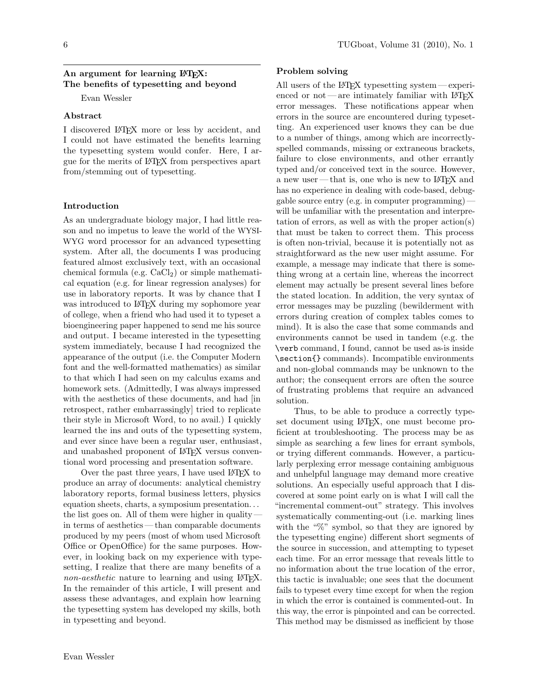# An argument for learning IATFX: The benefits of typesetting and beyond

Evan Wessler

### Abstract

I discovered IATFX more or less by accident, and I could not have estimated the benefits learning the typesetting system would confer. Here, I argue for the merits of LAT<sub>F</sub>X from perspectives apart from/stemming out of typesetting.

#### Introduction

As an undergraduate biology major, I had little reason and no impetus to leave the world of the WYSI-WYG word processor for an advanced typesetting system. After all, the documents I was producing featured almost exclusively text, with an occasional chemical formula (e.g.  $CaCl<sub>2</sub>$ ) or simple mathematical equation (e.g. for linear regression analyses) for use in laboratory reports. It was by chance that I was introduced to LATFX during my sophomore year of college, when a friend who had used it to typeset a bioengineering paper happened to send me his source and output. I became interested in the type setting system immediately, because I had recognized the appearance of the output (i.e. the Computer Modern font and the well-formatted mathematics) as similar to that which I had seen on my calculus exams and homework sets. (Admittedly, I was always impressed with the aesthetics of these documents, and had in retrospect, rather embarrassingly tried to replicate their style in Microsoft Word, to no avail.) I quickly learned the ins and outs of the typesetting system, and ever since have been a regular user, enthusiast, and unabashed proponent of LATFX versus conventional word processing and presentation software.

Over the past three years, I have used L<sup>AT</sup>FX to produce an array of documents: analytical chemistry laboratory reports, formal business letters, physics equation sheets, charts, a symposium presentation... the list goes on. All of them were higher in quality  $$ in terms of aesthetics — than comparable documents produced by my peers (most of whom used Microsoft Office or OpenOffice) for the same purposes. However, in looking back on my experience with typesetting, I realize that there are many benefits of a *non-aesthetic* nature to learning and using LAT<sub>F</sub>X. In the remainder of this article, I will present and assess these advantages, and explain how learning the typesetting system has developed my skills, both in typesetting and beyond.

## Problem solving

All users of the L<sup>AT</sup><sub>F</sub>X typesetting system — experienced or  $not$ —are intimately familiar with  $IAT$ <sub>F</sub>X error messages. These notifications appear when errors in the source are encountered during typesetting. An experienced user knows they can be due to a number of things, among which are incorrectlyspelled commands, missing or extraneous brackets, failure to close environments, and other errantly typed and/or conceived text in the source. However, a new user—that is, one who is new to LAT<sub>F</sub>X and has no experience in dealing with code-based, debuggable source entry (e.g. in computer programming) – will be unfamiliar with the presentation and interpretation of errors, as well as with the proper  $\arctan(s)$ that must be taken to correct them. This process is often non-trivial, because it is potentially not as straightforward as the new user might assume. For example, a message may indicate that there is something wrong at a certain line, whereas the incorrect element may actually be present several lines before the stated location. In addition, the very syntax of error messages may be puzzling (bewilderment with errors during creation of complex tables comes to mind). It is also the case that some commands and environments cannot be used in tandem (e.g. the \verb command, I found, cannot be used as-is inside \section{} commands). Incompatible environments and non-global commands may be unknown to the author; the consequent errors are often the source of frustrating problems that require an advanced solution.

Thus, to be able to produce a correctly typeset document using L<sup>A</sup>T<sub>F</sub>X, one must become proficient at troubleshooting. The process may be as simple as searching a few lines for errant symbols, or trying different commands. However, a particularly perplexing error message containing ambiguous and unhelpful language may demand more creative solutions. An especially useful approach that I discovered at some point early on is what I will call the "incremental comment-out" strategy. This involves systematically commenting-out (i.e. marking lines with the " $\%$ " symbol, so that they are ignored by the typesetting engine) different short segments of the source in succession, and attempting to typeset each time. For an error message that reveals little to no information about the true location of the error, this tactic is invaluable; one sees that the document fails to typeset every time except for when the region in which the error is contained is commented-out. In this way, the error is pinpointed and can be corrected. This method may be dismissed as inefficient by those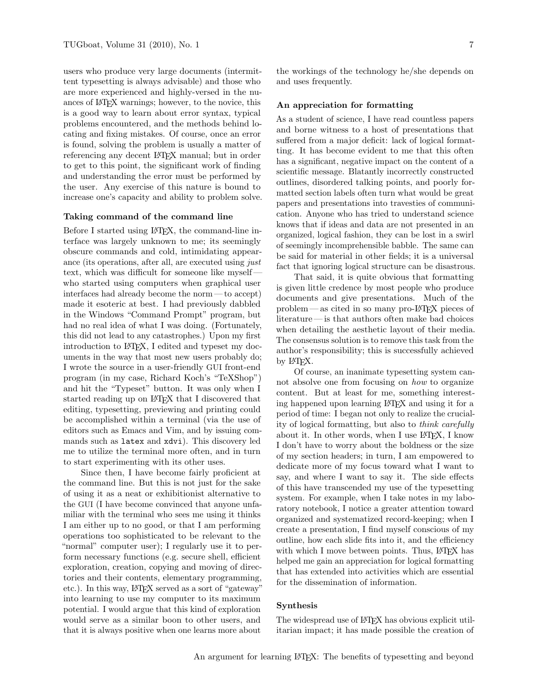users who produce very large documents (intermittent typesetting is always advisable) and those who are more experienced and highly-versed in the nuances of LATFX warnings; however, to the novice, this is a good way to learn about error syntax, typical problems encountered, and the methods behind locating and fixing mistakes. Of course, once an error is found, solving the problem is usually a matter of referencing any decent IATFX manual; but in order to get to this point, the significant work of finding and understanding the error must be performed by the user. Any exercise of this nature is bound to increase one's capacity and ability to problem solve.

### Taking command of the command line

Before I started using IATEX, the command-line interface was largely unknown to me; its seemingly obscure commands and cold, intimidating appearance (its operations, after all, are executed using just text, which was difficult for someone like myselfwho started using computers when graphical user interfaces had already become the norm $-$ to accept) made it esoteric at best. I had previously dabbled in the Windows "Command Prompt" program, but had no real idea of what I was doing. (Fortunately, this did not lead to any catastrophes.) Upon my first introduction to LAT<sub>F</sub>X, I edited and typeset my documents in the way that most new users probably do; I wrote the source in a user-friendly GUI front-end program (in my case, Richard Koch's "TeXShop") and hit the "Typeset" button. It was only when I started reading up on LAT<sub>F</sub>X that I discovered that editing, typesetting, previewing and printing could be accomplished within a terminal (via the use of editors such as Emacs and Vim, and by issuing commands such as latex and xdvi). This discovery led me to utilize the terminal more often, and in turn to start experimenting with its other uses.

Since then, I have become fairly proficient at the command line. But this is not just for the sake of using it as a neat or exhibitionist alternative to the GUI (I have become convinced that anyone unfamiliar with the terminal who sees me using it thinks I am either up to no good, or that I am performing operations too sophisticated to be relevant to the "normal" computer user); I regularly use it to perform necessary functions (e.g. secure shell, efficient exploration, creation, copying and moving of directories and their contents, elementary programming, etc.). In this way, LATEX served as a sort of "gateway" into learning to use my computer to its maximum potential. I would argue that this kind of exploration would serve as a similar boon to other users, and that it is always positive when one learns more about

the workings of the technology he/she depends on and uses frequently.

### An appreciation for formatting

As a student of science, I have read countless papers and borne witness to a host of presentations that suffered from a major deficit: lack of logical formatting. It has become evident to me that this often has a significant, negative impact on the content of a scientific message. Blatantly incorrectly constructed outlines, disordered talking points, and poorly formatted section labels often turn what would be great papers and presentations into travesties of communication. Anyone who has tried to understand science knows that if ideas and data are not presented in an organized, logical fashion, they can be lost in a swirl of seemingly incomprehensible babble. The same can be said for material in other fields; it is a universal fact that ignoring logical structure can be disastrous.

That said, it is quite obvious that formatting is given little credence by most people who produce documents and give presentations. Much of the  $problem$ —as cited in so many pro- $\angle$ ATFX pieces of literature—is that authors often make bad choices when detailing the aesthetic layout of their media. The consensus solution is to remove this task from the author's responsibility; this is successfully achieved by L<sup>AT</sup>FX.

Of course, an inanimate typesetting system cannot absolve one from focusing on *how* to organize content. But at least for me, something interesting happened upon learning LAT<sub>F</sub>X and using it for a period of time: I began not only to realize the cruciality of logical formatting, but also to *think carefully* about it. In other words, when I use IATFX, I know I don't have to worry about the boldness or the size of my section headers; in turn, I am empowered to dedicate more of my focus toward what I want to say, and where I want to say it. The side effects of this have transcended my use of the typesetting system. For example, when I take notes in my laboratory notebook, I notice a greater attention toward organized and systematized record-keeping; when I create a presentation, I find myself conscious of my outline, how each slide fits into it, and the efficiency with which I move between points. Thus, LATFX has helped me gain an appreciation for logical formatting that has extended into activities which are essential for the dissemination of information.

### **Synthesis**

The widespread use of IATFX has obvious explicit utilitarian impact; it has made possible the creation of